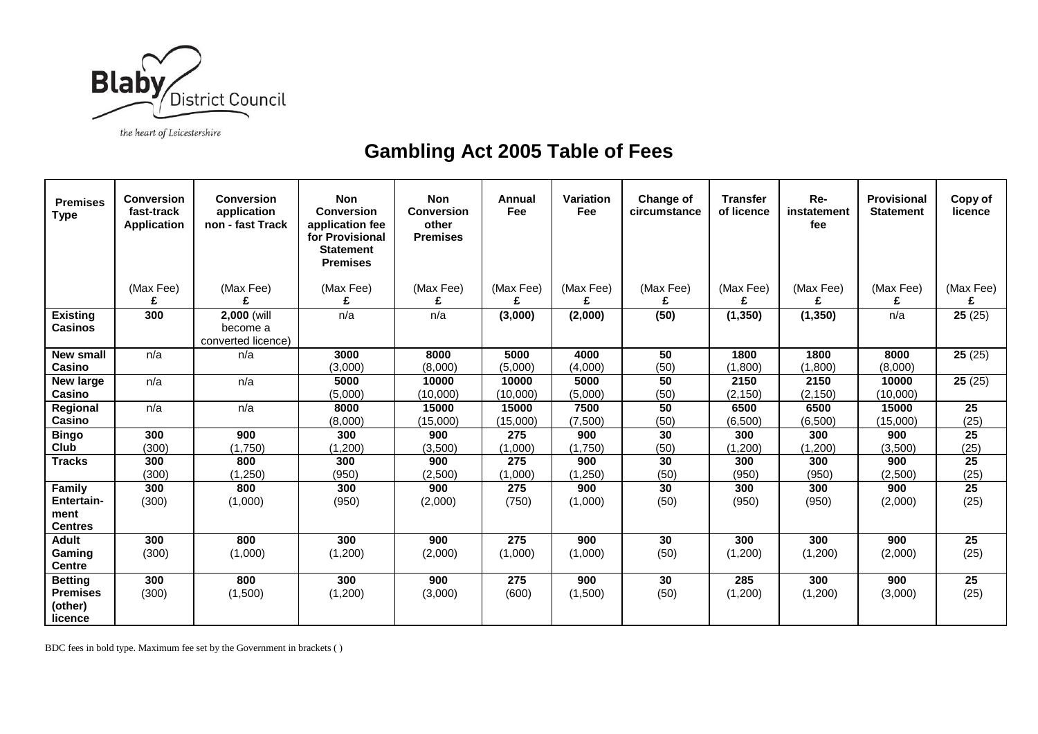

## the heart of Leicestershire

## **Gambling Act 2005 Table of Fees**

| <b>Premises</b><br><b>Type</b>                          | <b>Conversion</b><br>fast-track<br><b>Application</b> | <b>Conversion</b><br>application<br>non - fast Track | <b>Non</b><br><b>Conversion</b><br>application fee<br>for Provisional<br><b>Statement</b><br><b>Premises</b> | <b>Non</b><br><b>Conversion</b><br>other<br><b>Premises</b> | Annual<br>Fee     | <b>Variation</b><br>Fee | Change of<br>circumstance | <b>Transfer</b><br>of licence | Re-<br>instatement<br>fee | Provisional<br><b>Statement</b> | Copy of<br>licence |
|---------------------------------------------------------|-------------------------------------------------------|------------------------------------------------------|--------------------------------------------------------------------------------------------------------------|-------------------------------------------------------------|-------------------|-------------------------|---------------------------|-------------------------------|---------------------------|---------------------------------|--------------------|
|                                                         | (Max Fee)                                             | (Max Fee)                                            | (Max Fee)                                                                                                    | (Max Fee)                                                   | (Max Fee)         | (Max Fee)               | (Max Fee)                 | (Max Fee)                     | (Max Fee)                 | (Max Fee)                       | (Max Fee)          |
|                                                         | £                                                     | f                                                    | £                                                                                                            | £                                                           |                   |                         | £                         | £                             | £                         | £                               |                    |
| <b>Existing</b><br><b>Casinos</b>                       | 300                                                   | 2,000 (will<br>become a<br>converted licence)        | n/a                                                                                                          | n/a                                                         | (3,000)           | (2,000)                 | (50)                      | (1, 350)                      | (1, 350)                  | n/a                             | 25(25)             |
| <b>New small</b><br>Casino                              | n/a                                                   | n/a                                                  | 3000<br>(3,000)                                                                                              | 8000<br>(8,000)                                             | 5000<br>(5,000)   | 4000<br>(4,000)         | 50<br>(50)                | 1800<br>(1,800)               | 1800<br>(1,800)           | 8000<br>(8,000)                 | 25(25)             |
| <b>New large</b><br>Casino                              | n/a                                                   | n/a                                                  | 5000<br>(5,000)                                                                                              | 10000<br>(10,000)                                           | 10000<br>(10,000) | 5000<br>(5,000)         | 50<br>(50)                | 2150<br>(2, 150)              | 2150<br>(2, 150)          | 10000<br>(10,000)               | 25(25)             |
| Regional<br>Casino                                      | n/a                                                   | n/a                                                  | 8000<br>(8,000)                                                                                              | 15000<br>(15,000)                                           | 15000<br>(15,000) | 7500<br>(7,500)         | 50<br>(50)                | 6500<br>(6,500)               | 6500<br>(6,500)           | 15000<br>(15,000)               | 25<br>(25)         |
| <b>Bingo</b>                                            | 300                                                   | 900                                                  | 300                                                                                                          | 900                                                         | 275               | 900                     | 30                        | 300                           | 300                       | 900                             | $\overline{25}$    |
| Club                                                    | (300)                                                 | (1,750)                                              | (1,200)                                                                                                      | (3,500)                                                     | (1,000)           | (1,750)                 | (50)                      | (1,200)                       | (1,200)                   | (3,500)                         | (25)               |
| <b>Tracks</b>                                           | 300                                                   | 800                                                  | 300                                                                                                          | 900                                                         | 275               | 900                     | 30                        | 300                           | 300                       | 900                             | 25                 |
|                                                         | (300)                                                 | (1,250)                                              | (950)                                                                                                        | (2,500)                                                     | (1,000)           | (1,250)                 | (50)                      | (950)                         | (950)                     | (2,500)                         | (25)               |
| Family                                                  | 300                                                   | 800                                                  | 300                                                                                                          | 900                                                         | 275               | 900                     | 30                        | 300                           | 300                       | 900                             | 25                 |
| <b>Entertain-</b><br>ment<br><b>Centres</b>             | (300)                                                 | (1,000)                                              | (950)                                                                                                        | (2,000)                                                     | (750)             | (1,000)                 | (50)                      | (950)                         | (950)                     | (2,000)                         | (25)               |
| <b>Adult</b>                                            | 300                                                   | 800                                                  | 300                                                                                                          | 900                                                         | 275               | 900                     | 30                        | 300                           | 300                       | 900                             | 25                 |
| Gaming<br><b>Centre</b>                                 | (300)                                                 | (1,000)                                              | (1,200)                                                                                                      | (2,000)                                                     | (1,000)           | (1,000)                 | (50)                      | (1,200)                       | (1,200)                   | (2,000)                         | (25)               |
| <b>Betting</b><br><b>Premises</b><br>(other)<br>licence | 300<br>(300)                                          | 800<br>(1,500)                                       | 300<br>(1,200)                                                                                               | 900<br>(3,000)                                              | 275<br>(600)      | 900<br>(1,500)          | 30<br>(50)                | 285<br>(1,200)                | 300<br>(1,200)            | 900<br>(3,000)                  | 25<br>(25)         |

BDC fees in bold type. Maximum fee set by the Government in brackets ( )